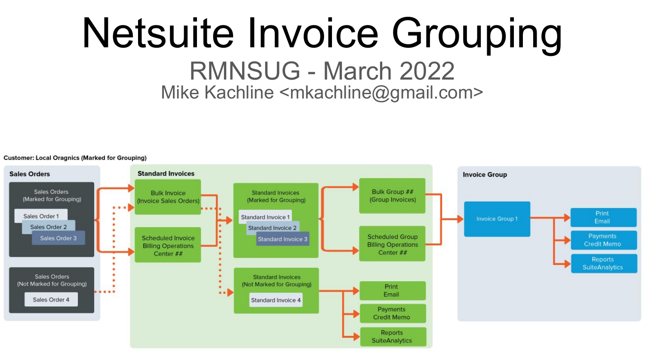# Netsuite Invoice Grouping RMNSUG - March 2022 Mike Kachline <mkachline@gmail.com>

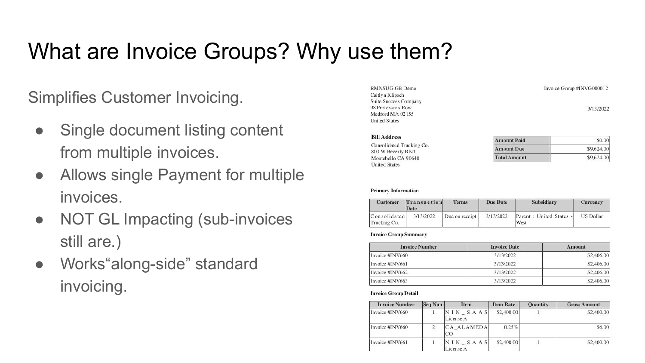### What are Invoice Groups? Why use them?

Simplifies Customer Invoicing.

- Single document listing content from multiple invoices.
- Allows single Payment for multiple invoices.
- NOT GL Impacting (sub-invoices still are.)
- Works"along-side" standard invoicing.

| <b>RMNSUG GB Demo</b>        |  |
|------------------------------|--|
| Caitlyn Klipsch              |  |
| <b>Suite Success Company</b> |  |
| 98 Professor's Row           |  |
| Medford MA 02155             |  |
| <b>United States</b>         |  |

| <b>Amount Paid</b>  | \$0.00     |
|---------------------|------------|
| <b>Amount Due</b>   | \$9,624.00 |
| <b>Total Amount</b> | \$9,624.00 |

Invoice Group #INVG000012

3/13/2022

#### **Primary Information**

**Bill Address** Consolidated Trucking Co. 800 W Beverly Blvd Montebello CA 90640 **United States** 

| <b>Customer</b>              | Transaction<br>Date | <b>Terms</b>     | Due Date  | Subsidiary                       | Currency         |
|------------------------------|---------------------|------------------|-----------|----------------------------------|------------------|
| Consolidated<br>Trucking Co. | 3/13/2022           | Due on receipt 1 | 3/13/2022 | Parent : United States -<br>West | <b>US Dollar</b> |

#### **Invoice Group Summary**

| <b>Invoice Number</b> | <b>Invoice Date</b> | <b>Amount</b> |
|-----------------------|---------------------|---------------|
| Invoice #INV660       | 3/13/2022           | \$2,406.00    |
| Invoice #INV661       | 3/13/2022           | \$2,406.00    |
| Invoice #INV662       | 3/13/2022           | \$2,406.00    |
| Invoice #INV663       | 3/13/2022           | \$2,406.00    |

#### **Invoice Group Detail**

| <b>Invoice Number</b> | <b>Seq Num</b> | <b>Item</b>           | <b>Item Rate</b> | <b>Quantity</b> | <b>Gross Amount</b> |
|-----------------------|----------------|-----------------------|------------------|-----------------|---------------------|
| Invoice #INV660       |                | NIN SAAS<br>License A | \$2,400.00       |                 | \$2,400.00          |
| Invoice #INV660       |                | CA ALAMEDA<br>CO      | 0.25%            |                 | \$6.00              |
| Invoice #INV661       |                | NIN SAAS<br>License A | \$2,400,00       |                 | \$2,400.00          |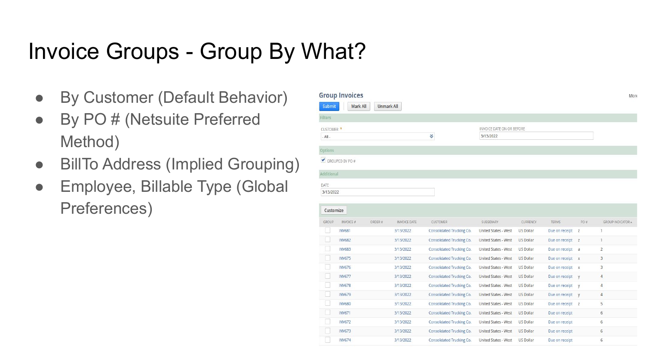#### Invoice Groups - Group By What?

- By Customer (Default Behavior)
- By PO # (Netsuite Preferred Method)
- BillTo Address (Implied Grouping)
- Employee, Billable Type (Global Preferences)

|                   | <b>Group Invoices</b> |        |                     |                                  |                             |                  |                  |              | More                     |
|-------------------|-----------------------|--------|---------------------|----------------------------------|-----------------------------|------------------|------------------|--------------|--------------------------|
| Submit            | <b>Mark All</b>       |        | <b>Unmark All</b>   |                                  |                             |                  |                  |              |                          |
| <b>Filters</b>    |                       |        |                     |                                  |                             |                  |                  |              |                          |
| <b>CUSTOMER *</b> |                       |        |                     |                                  | INVOICE DATE ON OR BEFORE   |                  |                  |              |                          |
| $-$ All $-$       |                       |        |                     | ×.                               | 3/13/2022                   |                  |                  |              |                          |
| Options           |                       |        |                     |                                  |                             |                  |                  |              |                          |
|                   | GROUPED BY PO #       |        |                     |                                  |                             |                  |                  |              |                          |
| Additional        |                       |        |                     |                                  |                             |                  |                  |              |                          |
| DATE              |                       |        |                     |                                  |                             |                  |                  |              |                          |
| 3/13/2022         |                       |        |                     |                                  |                             |                  |                  |              |                          |
|                   |                       |        |                     |                                  |                             |                  |                  |              |                          |
| Customize         |                       |        |                     |                                  |                             |                  |                  |              |                          |
| GROUP             | INVOICE #             | ORDER# | <b>INVOICE DATE</b> | <b>CUSTOMER</b>                  | SUBSIDIARY                  | CURRENCY         | <b>TERMS</b>     | PO #         | <b>GROUP INDICATOR A</b> |
|                   | <b>INV681</b>         |        | 3/13/2022           | <b>Consolidated Trucking Co.</b> | <b>United States - West</b> | <b>US Dollar</b> | Due on receipt   | z            |                          |
| П                 | <b>INV682</b>         |        | 3/13/2022           | Consolidated Trucking Co.        | United States - West        | <b>US Dollar</b> | Due on receipt z |              | $\mathbf{1}$             |
| 7                 | <b>INV683</b>         |        | 3/13/2022           | Consolidated Trucking Co.        | United States - West        | <b>US Dollar</b> | Due on receipt a |              | $\overline{2}$           |
| IJ                | <b>INV675</b>         |        | 3/13/2022           | Consolidated Trucking Co.        | United States - West        | <b>US Dollar</b> | Due on receipt x |              | 3                        |
| u                 | <b>INV676</b>         |        | 3/13/2022           | Consolidated Trucking Co.        | United States - West        | <b>US Dollar</b> | Due on receipt x |              | 3                        |
| ۳                 | <b>INV677</b>         |        | 3/13/2022           | Consolidated Trucking Co.        | United States - West        | <b>US Dollar</b> | Due on receipt y |              | $\overline{4}$           |
| ÷.                | <b>INV678</b>         |        | 3/13/2022           | Consolidated Trucking Co.        | United States - West        | <b>US Dollar</b> | Due on receipt y |              | $\overline{4}$           |
| П                 | <b>INV679</b>         |        | 3/13/2022           | Consolidated Trucking Co.        | <b>United States - West</b> | <b>US Dollar</b> | Due on receipt   | $\mathbf{v}$ | 4                        |
| -1                | <b>INV680</b>         |        | 3/13/2022           | Consolidated Trucking Co.        | <b>United States - West</b> | US Dollar        | Due on receipt z |              | 5                        |
| T                 | <b>INV671</b>         |        | 3/13/2022           | Consolidated Trucking Co.        | <b>United States - West</b> | <b>US Dollar</b> | Due on receipt   |              | 6                        |
|                   | <b>INV672</b>         |        | 3/13/2022           | Consolidated Trucking Co.        | United States - West        | <b>US Dollar</b> | Due on receipt   |              | 6                        |
| Ŭ.                |                       |        |                     |                                  |                             |                  |                  |              |                          |
|                   | <b>INV673</b>         |        | 3/13/2022           | Consolidated Trucking Co.        | <b>United States - West</b> | <b>US Dollar</b> | Due on receipt   |              | 6                        |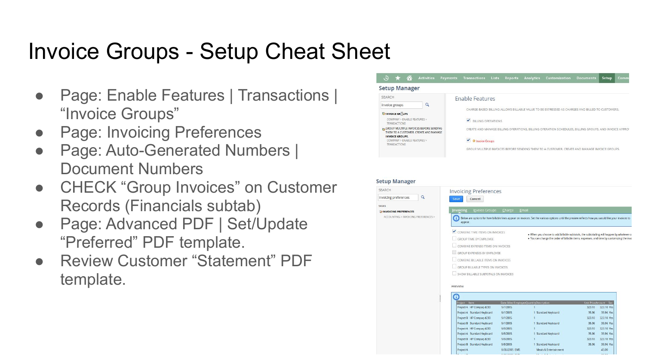### Invoice Groups - Setup Cheat Sheet

- Page: Enable Features | Transactions | "Invoice Groups"
- **Page: Invoicing Preferences**
- Page: Auto-Generated Numbers | Document Numbers
- CHECK "Group Invoices" on Customer Records (Financials subtab)
- Page: Advanced PDF | Set/Update "Preferred" PDF template.
- **Review Customer "Statement" PDF** template.





9/1/2005

9/1/2005

9/5/2005

9/5/2005

9/5/2005

8/30/2005 BMS

Standard Keyboard

HP Compag d230

Standard Keyboard

ect B HP Compag d230

 $1 -$ 

1 Standard Keyboard

1 Standard Keyboard

1 Standard Keyboard

Meals & Entertainmer

323.10

35.96

323.10 323.10 Ye

35.96 35.96 Yes 45.00

35.96 Ye 323.10

323.10 V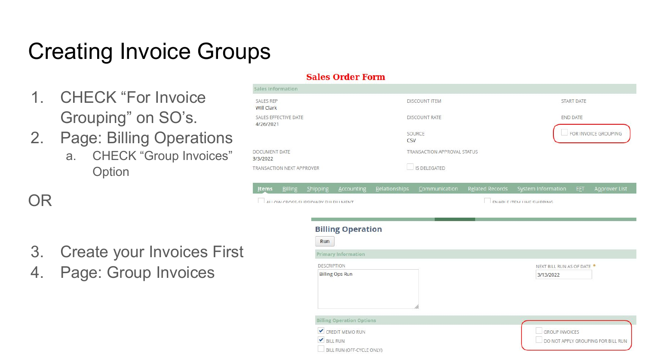## Creating Invoice Groups

**SALES REP** 

Will Clark

3/3/2022

- 1. CHECK "For Invoice Grouping" on SO's.
- 2. Page: Billing Operations
	- a. CHECK "Group Invoices" **Option**

OR

- 3. Create your Invoices First
- 4. Page: Group Invoices

#### **Sales Order Form** Sales Information **DISCOUNT ITEM** START DATE SALES EFFECTIVE DATE **DISCOUNT RATE END DATE** 4/26/2021 FOR INVOICE GROUPING SOURCE CSV DOCUMENT DATE TRANSACTION APPROVAL STATUS  $\Box$  IS DELEGATED TRANSACTION NEXT APPROVER Items Billing Shipping Accounting Relationships Communication Related Records System Information EET Approver List ALLOW CROSS-SHRSIDIARY FULLERLL MENT ENABLE ITEM LINE CUIDDING **Billing Operation** Run **Primary Information DESCRIPTION** NEXT BILL RUN AS OF DATE \* **Billing Ops Run** 3/13/2022 **Billing Operation Options** CREDIT MEMO RUN **GROUP INVOICES** BILL RUN DO NOT APPLY GROUPING FOR BILL RUN BILL RUN (OFF-CYCLE ONLY)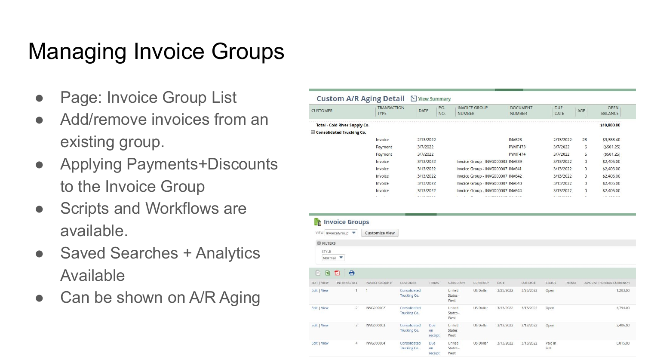### Managing Invoice Groups

- Page: Invoice Group List
- Add/remove invoices from an existing group.
- Applying Payments+Discounts to the Invoice Group
- Scripts and Workflows are available.
- Saved Searches + Analytics Available
- Can be shown on  $A/R$  Aging

| <b>CUSTOMER</b>                                          |                                      | <b>TRANSACTION</b><br><b>TYPE</b> | DATE                         | P.O.<br>NO.          | <b>NUMBER</b>                     | <b>INVOICE GROUP</b>              |           | <b>DOCUMENT</b><br><b>NUMBER</b> | DUE<br>DATE   | AGE  |              | <b>OPEN</b><br><b>BALANCE</b> |
|----------------------------------------------------------|--------------------------------------|-----------------------------------|------------------------------|----------------------|-----------------------------------|-----------------------------------|-----------|----------------------------------|---------------|------|--------------|-------------------------------|
|                                                          | <b>Total - Cold River Supply Co.</b> |                                   |                              |                      |                                   |                                   |           |                                  |               |      |              | \$10,800.00                   |
|                                                          | Consolidated Trucking Co.            |                                   |                              |                      |                                   |                                   |           |                                  |               |      |              |                               |
|                                                          |                                      | Invoice                           |                              | 2/13/2022            |                                   |                                   |           | <b>INV628</b>                    | 2/13/2022     |      | 28           | \$9,383.40                    |
|                                                          |                                      | Payment                           |                              | 3/7/2022             |                                   |                                   |           | <b>PYMT473</b>                   | 3/7/2022      |      | 6            | (5501.25)                     |
|                                                          |                                      | Payment                           |                              | 3/7/2022             |                                   |                                   |           | <b>PYMT474</b>                   | 3/7/2022      |      | 6            | (\$501.25)                    |
|                                                          |                                      | Invoice                           |                              | 3/13/2022            |                                   | Invoice Group - INVG000003 INV639 |           |                                  | 3/13/2022     |      | $\mathbf{0}$ | \$2,406.00                    |
|                                                          |                                      | Invoice                           |                              | 3/13/2022            |                                   | Invoice Group - INVG000007 INV641 |           |                                  | 3/13/2022     |      | 0            | \$2,406.00                    |
|                                                          |                                      | Invoice                           |                              | 3/13/2022            |                                   | Invoice Group - INVG000007 INV642 |           |                                  | 3/13/2022     |      | 0            | \$2,406.00                    |
|                                                          |                                      | Invoice                           |                              | 3/13/2022            |                                   | Invoice Group - INVG000007 INV643 |           |                                  | 3/13/2022     |      | $\mathbf 0$  | \$2,406.00                    |
|                                                          |                                      | Invoice                           |                              | 3/13/2022            |                                   | Invoice Group - INVG000007 INV644 |           |                                  | 3/13/2022     |      | 0            | \$2,406.00                    |
| <b>E FILTERS</b>                                         |                                      |                                   |                              |                      |                                   |                                   |           |                                  |               |      |              |                               |
| STYLE<br>Normal                                          | v                                    |                                   |                              |                      |                                   |                                   |           |                                  |               |      |              |                               |
| 因<br>$\mathbf{E}$<br>I÷                                  | $\Theta$                             |                                   |                              |                      |                                   |                                   |           |                                  |               |      |              |                               |
|                                                          | INTERNAL ID A                        | <b>INVOICE GROUP #</b>            | <b>CUSTOMER</b>              | <b>TERMS</b>         | SUBSIDIARY                        | <b>CURRENCY</b>                   | DATE      | <b>DUE DATE</b>                  | <b>STATUS</b> | MEMO |              | AMOUNT (FOREIGN CURRENCY)     |
|                                                          | 1<br>1                               |                                   | Consolidated<br>Trucking Co. |                      | <b>United</b><br>States -<br>West | <b>US Dollar</b>                  | 3/25/2022 | 3/25/2022                        | Open          |      |              | 1,203.00                      |
|                                                          | $\overline{2}$                       | <b>INVG000002</b>                 | Consolidated<br>Trucking Co. |                      | United<br>States -<br>West        | <b>US Dollar</b>                  | 3/13/2022 | 3/13/2022                        | Open          |      |              | 4,794.00                      |
| EDIT   VIEW<br>Edit   View<br>Edit   View<br>Edit   View | 3                                    | <b>INVG000003</b>                 | Consolidated<br>Trucking Co. | Due<br>on<br>receipt | United<br>States -<br>West        | <b>US Dollar</b>                  | 3/13/2022 | 3/13/2022                        | Open          |      |              | 2,406.00                      |

 $-1$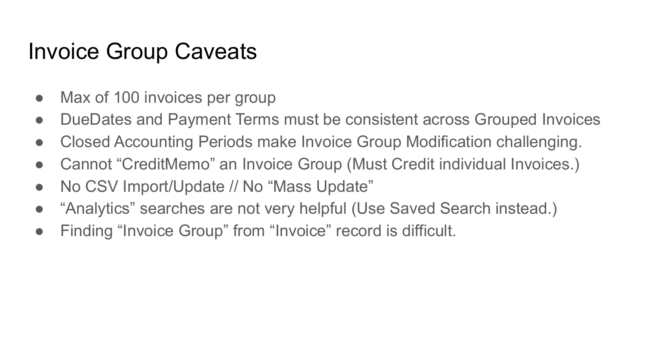#### Invoice Group Caveats

- Max of 100 invoices per group
- DueDates and Payment Terms must be consistent across Grouped Invoices
- Closed Accounting Periods make Invoice Group Modification challenging.
- Cannot "CreditMemo" an Invoice Group (Must Credit individual Invoices.)
- No CSV Import/Update // No "Mass Update"
- "Analytics" searches are not very helpful (Use Saved Search instead.)
- Finding "Invoice Group" from "Invoice" record is difficult.